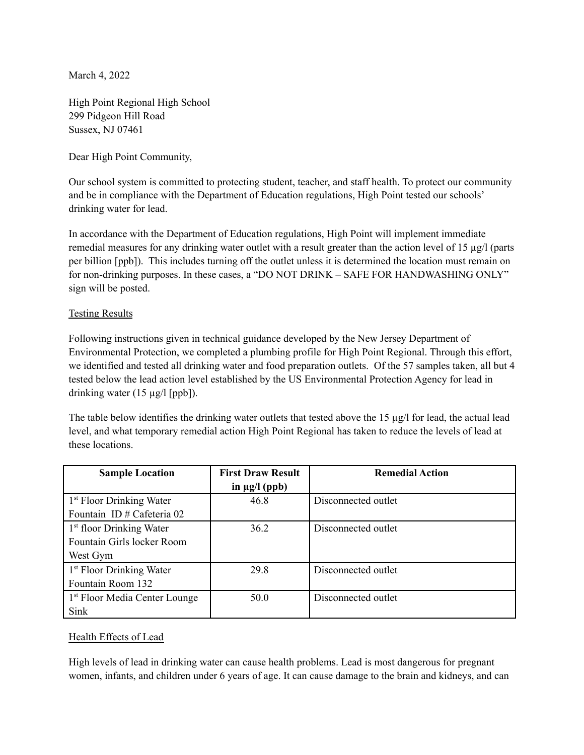March 4, 2022

High Point Regional High School 299 Pidgeon Hill Road Sussex, NJ 07461

Dear High Point Community,

Our school system is committed to protecting student, teacher, and staff health. To protect our community and be in compliance with the Department of Education regulations, High Point tested our schools' drinking water for lead.

In accordance with the Department of Education regulations, High Point will implement immediate remedial measures for any drinking water outlet with a result greater than the action level of 15 µg/l (parts per billion [ppb]). This includes turning off the outlet unless it is determined the location must remain on for non-drinking purposes. In these cases, a "DO NOT DRINK – SAFE FOR HANDWASHING ONLY" sign will be posted.

### Testing Results

Following instructions given in technical guidance developed by the New Jersey Department of Environmental Protection, we completed a plumbing profile for High Point Regional. Through this effort, we identified and tested all drinking water and food preparation outlets. Of the 57 samples taken, all but 4 tested below the lead action level established by the US Environmental Protection Agency for lead in drinking water (15 µg/l [ppb]).

The table below identifies the drinking water outlets that tested above the 15 µg/l for lead, the actual lead level, and what temporary remedial action High Point Regional has taken to reduce the levels of lead at these locations.

| <b>Sample Location</b>                   | <b>First Draw Result</b> | <b>Remedial Action</b> |
|------------------------------------------|--------------------------|------------------------|
|                                          | in $\mu$ g/l (ppb)       |                        |
| 1 <sup>st</sup> Floor Drinking Water     | 46.8                     | Disconnected outlet    |
| Fountain ID # Cafeteria 02               |                          |                        |
| 1 <sup>st</sup> floor Drinking Water     | 36.2                     | Disconnected outlet    |
| Fountain Girls locker Room               |                          |                        |
| West Gym                                 |                          |                        |
| 1 <sup>st</sup> Floor Drinking Water     | 29.8                     | Disconnected outlet    |
| Fountain Room 132                        |                          |                        |
| <sup>1st</sup> Floor Media Center Lounge | 50.0                     | Disconnected outlet    |
| Sink                                     |                          |                        |

### Health Effects of Lead

High levels of lead in drinking water can cause health problems. Lead is most dangerous for pregnant women, infants, and children under 6 years of age. It can cause damage to the brain and kidneys, and can